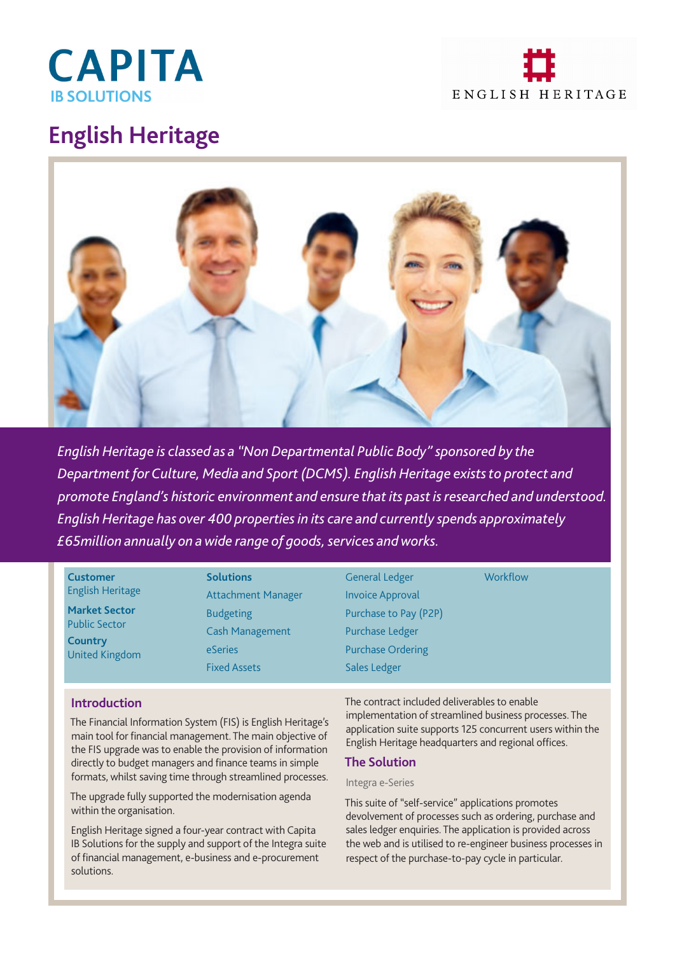



# **English Heritage**



*English Heritage is classed as a "Non Departmental Public Body" sponsored by the Department for Culture, Media and Sport (DCMS). English Heritage exists to protect and promote England's historic environment and ensure that its past is researched and understood. English Heritage has over 400 properties in its care and currently spends approximately £65million annually on a wide range of goods, services and works.* 

#### **Customer** English Heritage

**Market Sector** Public Sector **Country** United Kingdom **Solutions** Attachment Manager Budgeting Cash Management eSeries Fixed Assets

General Ledger Invoice Approval Purchase to Pay (P2P) Purchase Ledger Purchase Ordering Sales Ledger

**Workflow** 

# **Introduction**

The Financial Information System (FIS) is English Heritage's main tool for financial management. The main objective of the FIS upgrade was to enable the provision of information directly to budget managers and finance teams in simple formats, whilst saving time through streamlined processes.

The upgrade fully supported the modernisation agenda within the organisation.

English Heritage signed a four-year contract with Capita IB Solutions for the supply and support of the Integra suite of financial management, e-business and e-procurement solutions.

The contract included deliverables to enable implementation of streamlined business processes. The application suite supports 125 concurrent users within the English Heritage headquarters and regional offices.

### **The Solution**

#### Integra e-Series

This suite of "self-service" applications promotes devolvement of processes such as ordering, purchase and sales ledger enquiries. The application is provided across the web and is utilised to re-engineer business processes in respect of the purchase-to-pay cycle in particular.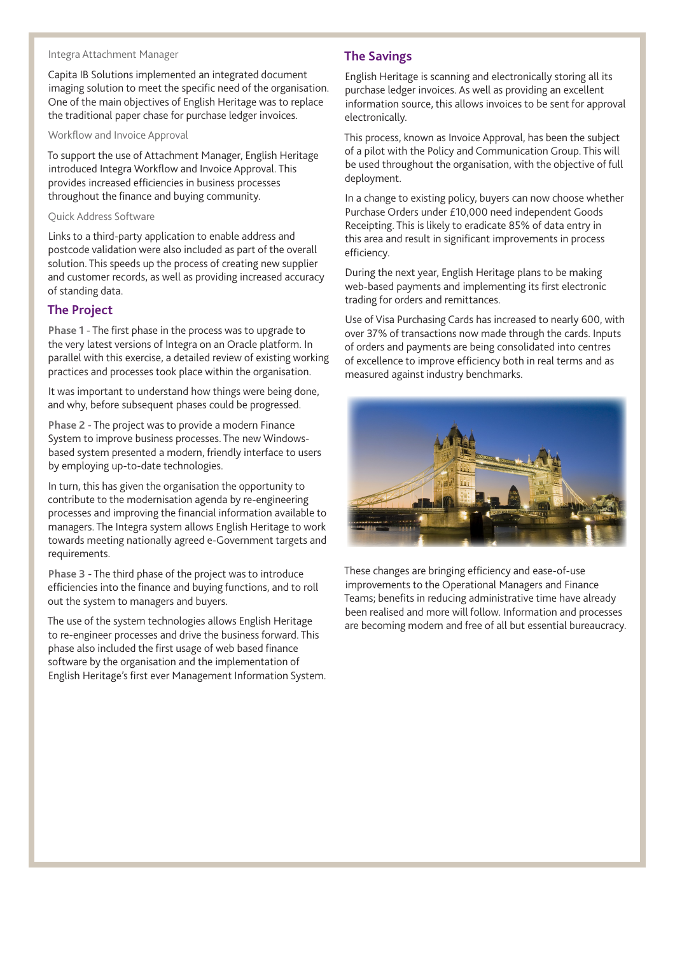# Integra Attachment Manager

Capita IB Solutions implemented an integrated document imaging solution to meet the specific need of the organisation. One of the main objectives of English Heritage was to replace the traditional paper chase for purchase ledger invoices.

#### Workflow and Invoice Approval

To support the use of Attachment Manager, English Heritage introduced Integra Workflow and Invoice Approval. This provides increased efficiencies in business processes throughout the finance and buying community.

#### Quick Address Software

Links to a third-party application to enable address and postcode validation were also included as part of the overall solution. This speeds up the process of creating new supplier and customer records, as well as providing increased accuracy of standing data.

#### **The Project**

**Phase 1** - The first phase in the process was to upgrade to the very latest versions of Integra on an Oracle platform. In parallel with this exercise, a detailed review of existing working practices and processes took place within the organisation.

It was important to understand how things were being done, and why, before subsequent phases could be progressed.

**Phase 2** - The project was to provide a modern Finance System to improve business processes. The new Windowsbased system presented a modern, friendly interface to users by employing up-to-date technologies.

In turn, this has given the organisation the opportunity to contribute to the modernisation agenda by re-engineering processes and improving the financial information available to managers. The Integra system allows English Heritage to work towards meeting nationally agreed e-Government targets and requirements.

**Phase 3** - The third phase of the project was to introduce efficiencies into the finance and buying functions, and to roll out the system to managers and buyers.

The use of the system technologies allows English Heritage to re-engineer processes and drive the business forward. This phase also included the first usage of web based finance software by the organisation and the implementation of English Heritage's first ever Management Information System.

## **The Savings**

English Heritage is scanning and electronically storing all its purchase ledger invoices. As well as providing an excellent information source, this allows invoices to be sent for approval electronically.

This process, known as Invoice Approval, has been the subject of a pilot with the Policy and Communication Group. This will be used throughout the organisation, with the objective of full deployment.

In a change to existing policy, buyers can now choose whether Purchase Orders under £10,000 need independent Goods Receipting. This is likely to eradicate 85% of data entry in this area and result in significant improvements in process efficiency.

During the next year, English Heritage plans to be making web-based payments and implementing its first electronic trading for orders and remittances.

Use of Visa Purchasing Cards has increased to nearly 600, with over 37% of transactions now made through the cards. Inputs of orders and payments are being consolidated into centres of excellence to improve efficiency both in real terms and as measured against industry benchmarks.



These changes are bringing efficiency and ease-of-use improvements to the Operational Managers and Finance Teams; benefits in reducing administrative time have already been realised and more will follow. Information and processes are becoming modern and free of all but essential bureaucracy.